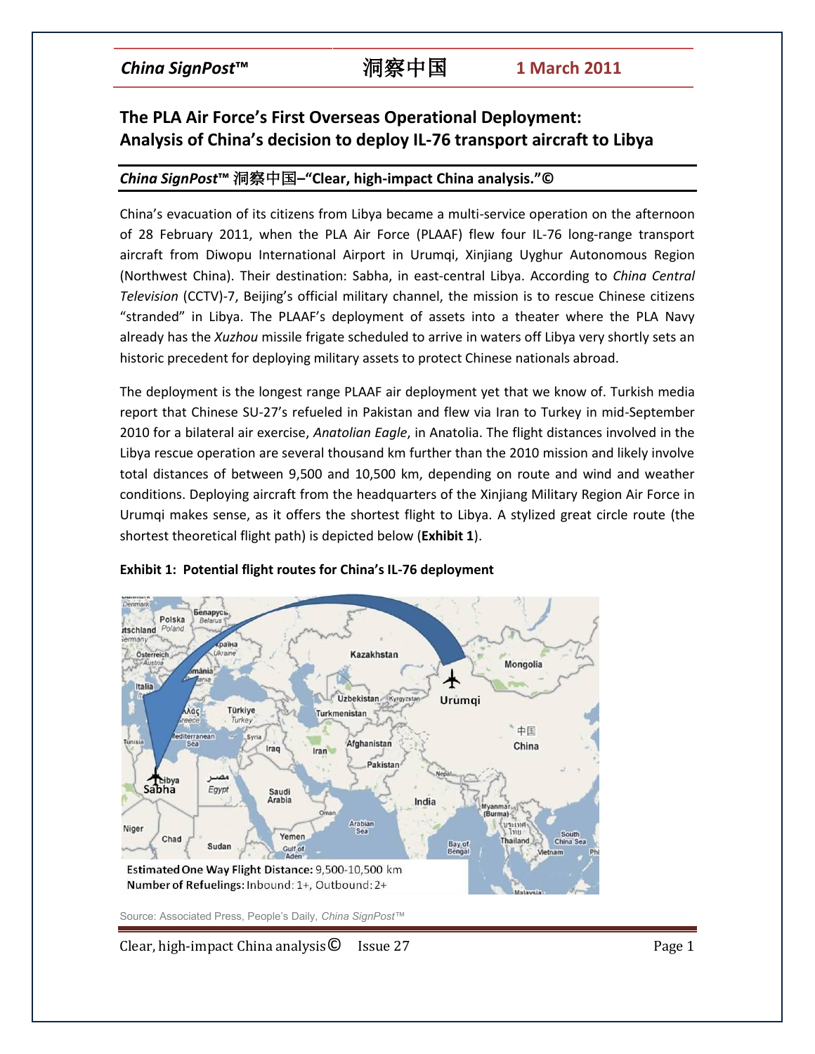# **The PLA Air Force's First Overseas Operational Deployment: Analysis of China's decision to deploy IL-76 transport aircraft to Libya**

## *China SignPost***™** 洞察中国**–"Clear, high-impact China analysis."©**

China's evacuation of its citizens from Libya became a multi-service operation on the afternoon of 28 February 2011, when the PLA Air Force (PLAAF) flew four IL-76 long-range transport aircraft from Diwopu International Airport in Urumqi, Xinjiang Uyghur Autonomous Region (Northwest China). Their destination: Sabha, in east-central Libya. According to *China Central Television* (CCTV)-7, Beijing's official military channel, the mission is to rescue Chinese citizens "stranded" in Libya. The PLAAF's deployment of assets into a theater where the PLA Navy already has the *Xuzhou* missile frigate scheduled to arrive in waters off Libya very shortly sets an historic precedent for deploying military assets to protect Chinese nationals abroad.

The deployment is the longest range PLAAF air deployment yet that we know of. Turkish media report that Chinese SU-27's refueled in Pakistan and flew via Iran to Turkey in mid-September 2010 for a bilateral air exercise, *Anatolian Eagle*, in Anatolia. The flight distances involved in the Libya rescue operation are several thousand km further than the 2010 mission and likely involve total distances of between 9,500 and 10,500 km, depending on route and wind and weather conditions. Deploying aircraft from the headquarters of the Xinjiang Military Region Air Force in Urumqi makes sense, as it offers the shortest flight to Libya. A stylized great circle route (the shortest theoretical flight path) is depicted below (**Exhibit 1**).



### **Exhibit 1: Potential flight routes for China's IL-76 deployment**

Source: Associated Press, People's Daily, *China SignPost™*

Clear, high-impact China analysis  $\bullet$  Issue 27 Page 1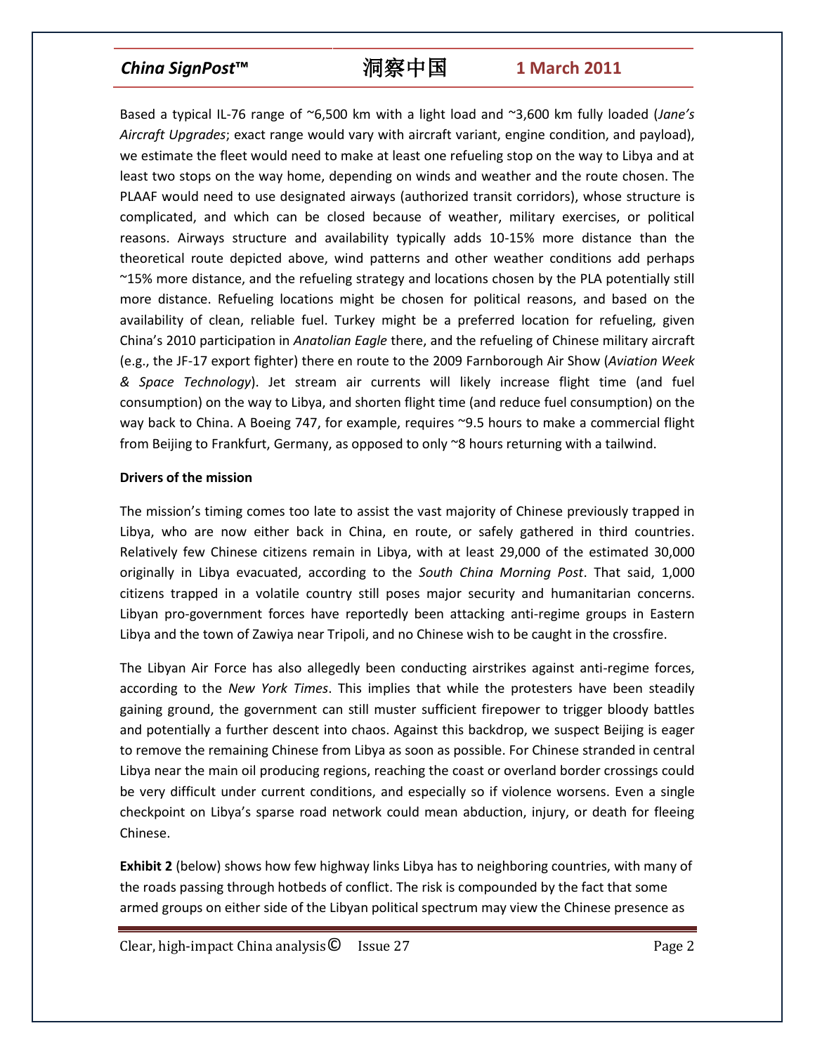Based a typical IL-76 range of ~6,500 km with a light load and ~3,600 km fully loaded (*Jane's Aircraft Upgrades*; exact range would vary with aircraft variant, engine condition, and payload), we estimate the fleet would need to make at least one refueling stop on the way to Libya and at least two stops on the way home, depending on winds and weather and the route chosen. The PLAAF would need to use designated airways (authorized transit corridors), whose structure is complicated, and which can be closed because of weather, military exercises, or political reasons. Airways structure and availability typically adds 10-15% more distance than the theoretical route depicted above, wind patterns and other weather conditions add perhaps ~15% more distance, and the refueling strategy and locations chosen by the PLA potentially still more distance. Refueling locations might be chosen for political reasons, and based on the availability of clean, reliable fuel. Turkey might be a preferred location for refueling, given China's 2010 participation in *Anatolian Eagle* there, and the refueling of Chinese military aircraft (e.g., the JF-17 export fighter) there en route to the 2009 Farnborough Air Show (*Aviation Week & Space Technology*). Jet stream air currents will likely increase flight time (and fuel consumption) on the way to Libya, and shorten flight time (and reduce fuel consumption) on the way back to China. A Boeing 747, for example, requires ~9.5 hours to make a commercial flight from Beijing to Frankfurt, Germany, as opposed to only ~8 hours returning with a tailwind.

### **Drivers of the mission**

The mission's timing comes too late to assist the vast majority of Chinese previously trapped in Libya, who are now either back in China, en route, or safely gathered in third countries. Relatively few Chinese citizens remain in Libya, with at least 29,000 of the estimated 30,000 originally in Libya evacuated, according to the *South China Morning Post*. That said, 1,000 citizens trapped in a volatile country still poses major security and humanitarian concerns. Libyan pro-government forces have reportedly been attacking anti-regime groups in Eastern Libya and the town of Zawiya near Tripoli, and no Chinese wish to be caught in the crossfire.

The Libyan Air Force has also allegedly been conducting airstrikes against anti-regime forces, according to the *New York Times*. This implies that while the protesters have been steadily gaining ground, the government can still muster sufficient firepower to trigger bloody battles and potentially a further descent into chaos. Against this backdrop, we suspect Beijing is eager to remove the remaining Chinese from Libya as soon as possible. For Chinese stranded in central Libya near the main oil producing regions, reaching the coast or overland border crossings could be very difficult under current conditions, and especially so if violence worsens. Even a single checkpoint on Libya's sparse road network could mean abduction, injury, or death for fleeing Chinese.

**Exhibit 2** (below) shows how few highway links Libya has to neighboring countries, with many of the roads passing through hotbeds of conflict. The risk is compounded by the fact that some armed groups on either side of the Libyan political spectrum may view the Chinese presence as

Clear, high-impact China analysis© Issue 27 Page 2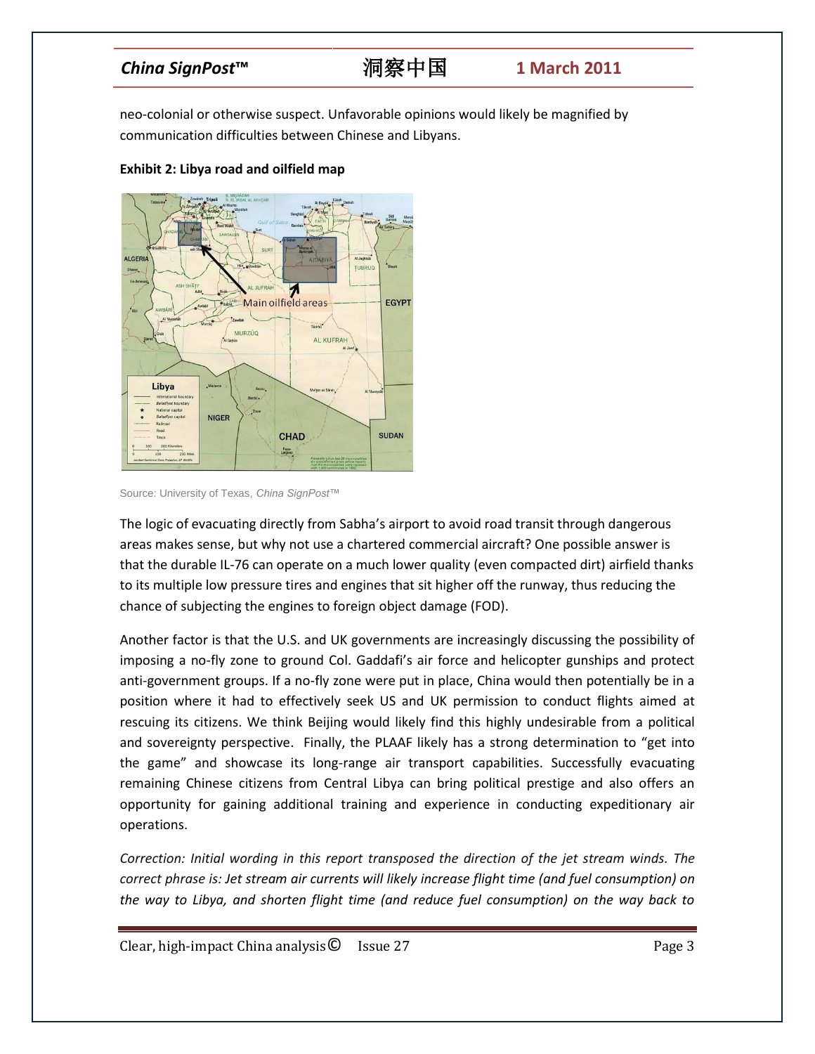neo-colonial or otherwise suspect. Unfavorable opinions would likely be magnified by communication difficulties between Chinese and Libyans.



### **Exhibit 2: Libya road and oilfield map**

Source: University of Texas, *China SignPost™*

The logic of evacuating directly from Sabha's airport to avoid road transit through dangerous areas makes sense, but why not use a chartered commercial aircraft? One possible answer is that the durable IL-76 can operate on a much lower quality (even compacted dirt) airfield thanks to its multiple low pressure tires and engines that sit higher off the runway, thus reducing the chance of subjecting the engines to foreign object damage (FOD).

Another factor is that the U.S. and UK governments are increasingly discussing the possibility of imposing a no-fly zone to ground Col. Gaddafi's air force and helicopter gunships and protect anti-government groups. If a no-fly zone were put in place, China would then potentially be in a position where it had to effectively seek US and UK permission to conduct flights aimed at rescuing its citizens. We think Beijing would likely find this highly undesirable from a political and sovereignty perspective. Finally, the PLAAF likely has a strong determination to "get into the game" and showcase its long-range air transport capabilities. Successfully evacuating remaining Chinese citizens from Central Libya can bring political prestige and also offers an opportunity for gaining additional training and experience in conducting expeditionary air operations.

*Correction: Initial wording in this report transposed the direction of the jet stream winds. The correct phrase is: Jet stream air currents will likely increase flight time (and fuel consumption) on the way to Libya, and shorten flight time (and reduce fuel consumption) on the way back to* 

Clear, high-impact China analysis© Issue 27 Page 3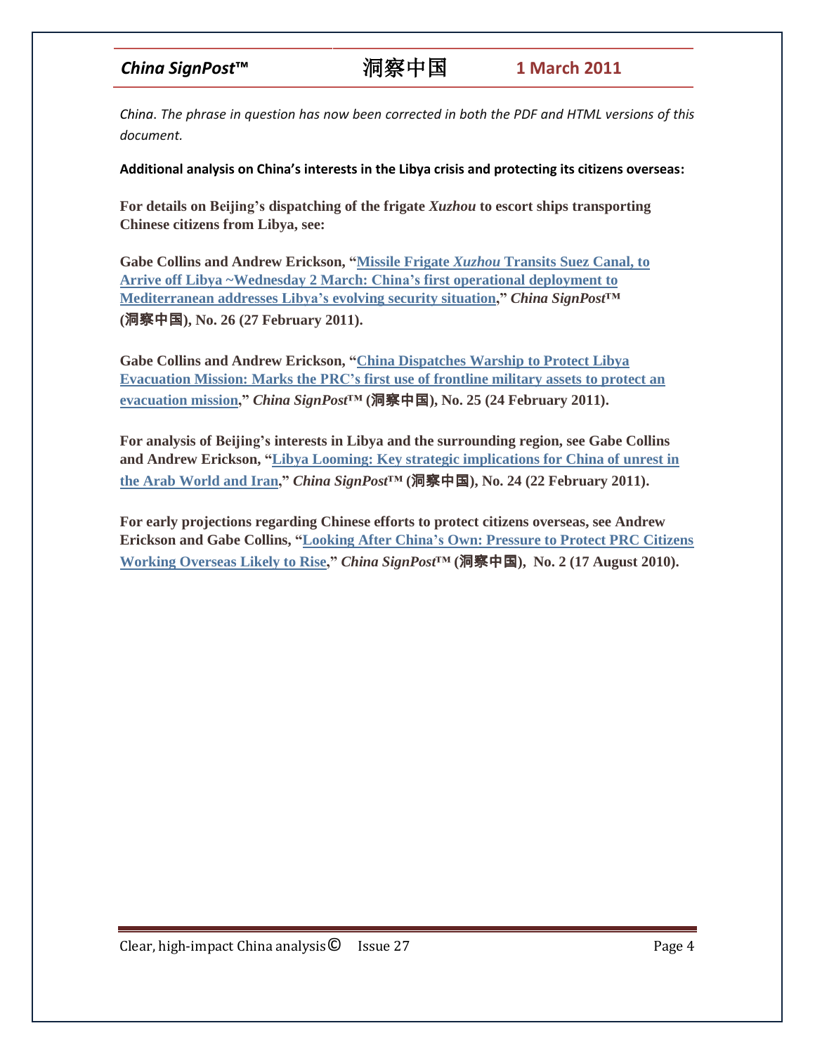*China*. *The phrase in question has now been corrected in both the PDF and HTML versions of this document.*

**Additional analysis on China's interests in the Libya crisis and protecting its citizens overseas:**

**For details on Beijing's dispatching of the frigate** *Xuzhou* **to escort ships transporting Chinese citizens from Libya, see:**

**Gabe Collins and Andrew Erickson, "Missile Frigate** *Xuzhou* **[Transits](http://www.chinasignpost.com/wp-content/uploads/2011/02/China-SignPost_26_Further-analysis-of-Chinas-Libya-deployment_20110227.pdf) Suez Canal, to Arrive off Libya [~Wednesday](http://www.chinasignpost.com/wp-content/uploads/2011/02/China-SignPost_26_Further-analysis-of-Chinas-Libya-deployment_20110227.pdf) 2 March: China's first operational deployment to [Mediterranean](http://www.chinasignpost.com/wp-content/uploads/2011/02/China-SignPost_26_Further-analysis-of-Chinas-Libya-deployment_20110227.pdf) addresses Libya's evolving security situation,"** *China SignPost***™ (**洞察中国**), No. 26 (27 February 2011).**

**Gabe Collins and Andrew Erickson, "China [Dispatches](http://www.chinasignpost.com/wp-content/uploads/2011/02/China-SignPost_25_Warship-deployment-to-Libya-sets-major-precedent_20110224.pdf) Warship to Protect Libya [Evacuation](http://www.chinasignpost.com/wp-content/uploads/2011/02/China-SignPost_25_Warship-deployment-to-Libya-sets-major-precedent_20110224.pdf) Mission: Marks the PRC's first use of frontline military assets to protect an [evacuation](http://www.chinasignpost.com/wp-content/uploads/2011/02/China-SignPost_25_Warship-deployment-to-Libya-sets-major-precedent_20110224.pdf) mission,"** *China SignPost***™ (**洞察中国**), No. 25 (24 February 2011).**

**For analysis of Beijing's interests in Libya and the surrounding region, see Gabe Collins and Andrew Erickson, "Libya Looming: Key strategic [implications](http://www.chinasignpost.com/wp-content/uploads/2011/02/China-SignPost_24_Middle-East-North-Africa-unrest_Implications-for-China_20110222.pdf) for China of unrest in the Arab [World](http://www.chinasignpost.com/wp-content/uploads/2011/02/China-SignPost_24_Middle-East-North-Africa-unrest_Implications-for-China_20110222.pdf) and Iran,"** *China SignPost***™ (**洞察中国**), No. 24 (22 February 2011).**

**For early projections regarding Chinese efforts to protect citizens overseas, see Andrew Erickson and Gabe Collins, ["Looking](http://www.andrewerickson.com/wp-content/uploads/2010/08/China-Signpost_2_Protecting-Chinas-Own_2010-08-17_V2.pdf) After China's Own: Pressure to Protect PRC Citizens Working [Overseas](http://www.andrewerickson.com/wp-content/uploads/2010/08/China-Signpost_2_Protecting-Chinas-Own_2010-08-17_V2.pdf) Likely to Rise,"** *China SignPost***™ (**洞察中国**), No. 2 (17 August 2010).**